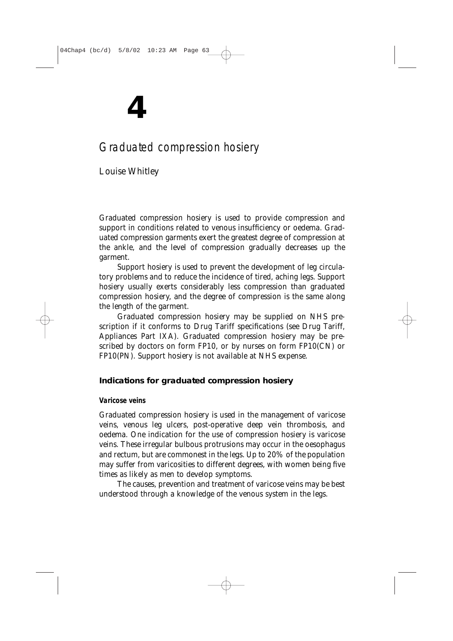# **4**

# Graduated compression hosiery

*Louise Whitley*

Graduated compression hosiery is used to provide compression and support in conditions related to venous insufficiency or oedema. Graduated compression garments exert the greatest degree of compression at the ankle, and the level of compression gradually decreases up the garment.

Support hosiery is used to prevent the development of leg circulatory problems and to reduce the incidence of tired, aching legs. Support hosiery usually exerts considerably less compression than graduated compression hosiery, and the degree of compression is the same along the length of the garment.

Graduated compression hosiery may be supplied on NHS prescription if it conforms to *Drug Tariff* specifications (see *Drug Tariff*, Appliances Part IXA). Graduated compression hosiery may be prescribed by doctors on form FP10, or by nurses on form FP10(CN) or FP10(PN). Support hosiery is not available at NHS expense.

# **Indications for graduated compression hosiery**

# **Varicose veins**

Graduated compression hosiery is used in the management of varicose veins, venous leg ulcers, post-operative deep vein thrombosis, and oedema. One indication for the use of compression hosiery is varicose veins. These irregular bulbous protrusions may occur in the oesophagus and rectum, but are commonest in the legs. Up to 20% of the population may suffer from varicosities to different degrees, with women being five times as likely as men to develop symptoms.

The causes, prevention and treatment of varicose veins may be best understood through a knowledge of the venous system in the legs.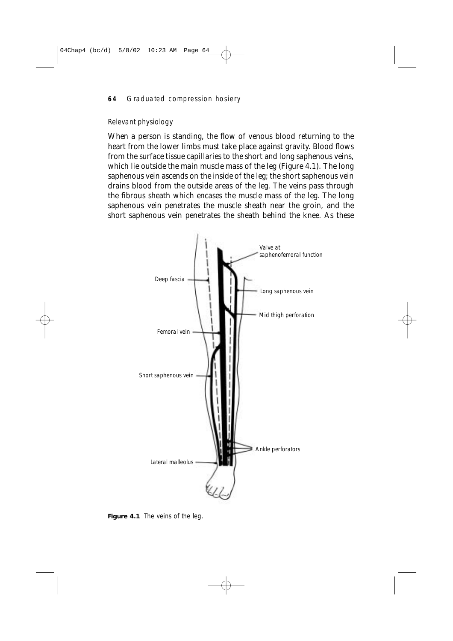# *Relevant physiology*

When a person is standing, the flow of venous blood returning to the heart from the lower limbs must take place against gravity. Blood flows from the surface tissue capillaries to the short and long saphenous veins, which lie outside the main muscle mass of the leg (Figure 4.1). The long saphenous vein ascends on the inside of the leg; the short saphenous vein drains blood from the outside areas of the leg. The veins pass through the fibrous sheath which encases the muscle mass of the leg. The long saphenous vein penetrates the muscle sheath near the groin, and the short saphenous vein penetrates the sheath behind the knee. As these



Figure 4.1 The veins of the leg.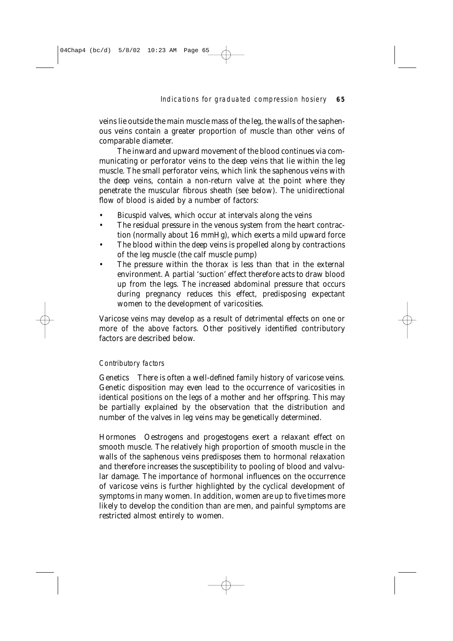Indications for graduated compression hosiery **65**

veins lie outside the main muscle mass of the leg, the walls of the saphenous veins contain a greater proportion of muscle than other veins of comparable diameter.

The inward and upward movement of the blood continues via communicating or perforator veins to the deep veins that lie within the leg muscle. The small perforator veins, which link the saphenous veins with the deep veins, contain a non-return valve at the point where they penetrate the muscular fibrous sheath (see below). The unidirectional flow of blood is aided by a number of factors:

- Bicuspid valves, which occur at intervals along the veins
- The residual pressure in the venous system from the heart contraction (normally about 16 mmHg), which exerts a mild upward force
- The blood within the deep veins is propelled along by contractions of the leg muscle (the calf muscle pump)
- The pressure within the thorax is less than that in the external environment. A partial 'suction' effect therefore acts to draw blood up from the legs. The increased abdominal pressure that occurs during pregnancy reduces this effect, predisposing expectant women to the development of varicosities.

Varicose veins may develop as a result of detrimental effects on one or more of the above factors. Other positively identified contributory factors are described below.

# *Contributory factors*

*Genetics* There is often a well-defined family history of varicose veins. Genetic disposition may even lead to the occurrence of varicosities in identical positions on the legs of a mother and her offspring. This may be partially explained by the observation that the distribution and number of the valves in leg veins may be genetically determined.

*Hormones* Oestrogens and progestogens exert a relaxant effect on smooth muscle. The relatively high proportion of smooth muscle in the walls of the saphenous veins predisposes them to hormonal relaxation and therefore increases the susceptibility to pooling of blood and valvular damage. The importance of hormonal influences on the occurrence of varicose veins is further highlighted by the cyclical development of symptoms in many women. In addition, women are up to five times more likely to develop the condition than are men, and painful symptoms are restricted almost entirely to women.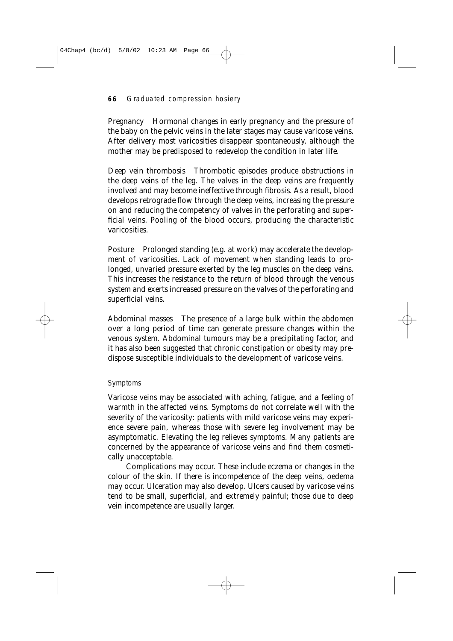*Pregnancy* Hormonal changes in early pregnancy and the pressure of the baby on the pelvic veins in the later stages may cause varicose veins. After delivery most varicosities disappear spontaneously, although the mother may be predisposed to redevelop the condition in later life.

*Deep vein thrombosis* Thrombotic episodes produce obstructions in the deep veins of the leg. The valves in the deep veins are frequently involved and may become ineffective through fibrosis. As a result, blood develops retrograde flow through the deep veins, increasing the pressure on and reducing the competency of valves in the perforating and superficial veins. Pooling of the blood occurs, producing the characteristic varicosities.

*Posture* Prolonged standing (e.g. at work) may accelerate the development of varicosities. Lack of movement when standing leads to prolonged, unvaried pressure exerted by the leg muscles on the deep veins. This increases the resistance to the return of blood through the venous system and exerts increased pressure on the valves of the perforating and superficial veins.

*Abdominal masses* The presence of a large bulk within the abdomen over a long period of time can generate pressure changes within the venous system. Abdominal tumours may be a precipitating factor, and it has also been suggested that chronic constipation or obesity may predispose susceptible individuals to the development of varicose veins.

#### *Symptoms*

Varicose veins may be associated with aching, fatigue, and a feeling of warmth in the affected veins. Symptoms do not correlate well with the severity of the varicosity: patients with mild varicose veins may experience severe pain, whereas those with severe leg involvement may be asymptomatic. Elevating the leg relieves symptoms. Many patients are concerned by the appearance of varicose veins and find them cosmetically unacceptable.

Complications may occur. These include eczema or changes in the colour of the skin. If there is incompetence of the deep veins, oedema may occur. Ulceration may also develop. Ulcers caused by varicose veins tend to be small, superficial, and extremely painful; those due to deep vein incompetence are usually larger.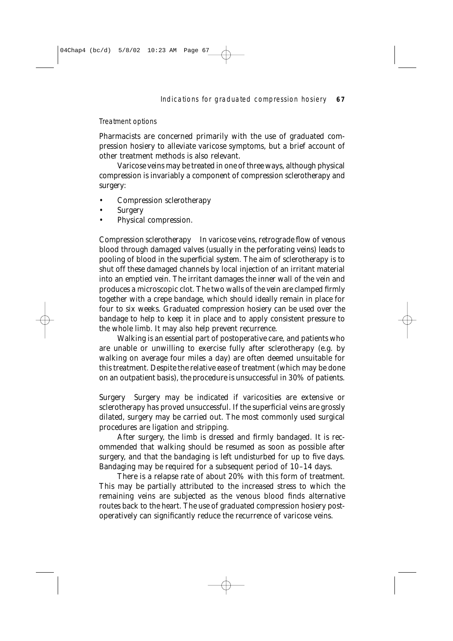# *Treatment options*

Pharmacists are concerned primarily with the use of graduated compression hosiery to alleviate varicose symptoms, but a brief account of other treatment methods is also relevant.

Varicose veins may be treated in one of three ways, although physical compression is invariably a component of compression sclerotherapy and surgery:

- Compression sclerotherapy
- **Surgery**
- Physical compression.

*Compression sclerotherapy* In varicose veins, retrograde flow of venous blood through damaged valves (usually in the perforating veins) leads to pooling of blood in the superficial system. The aim of sclerotherapy is to shut off these damaged channels by local injection of an irritant material into an emptied vein. The irritant damages the inner wall of the vein and produces a microscopic clot. The two walls of the vein are clamped firmly together with a crepe bandage, which should ideally remain in place for four to six weeks. Graduated compression hosiery can be used over the bandage to help to keep it in place and to apply consistent pressure to the whole limb. It may also help prevent recurrence.

Walking is an essential part of postoperative care, and patients who are unable or unwilling to exercise fully after sclerotherapy (e.g. by walking on average four miles a day) are often deemed unsuitable for this treatment. Despite the relative ease of treatment (which may be done on an outpatient basis), the procedure is unsuccessful in 30% of patients.

*Surgery* Surgery may be indicated if varicosities are extensive or sclerotherapy has proved unsuccessful. If the superficial veins are grossly dilated, surgery may be carried out. The most commonly used surgical procedures are ligation and stripping.

After surgery, the limb is dressed and firmly bandaged. It is recommended that walking should be resumed as soon as possible after surgery, and that the bandaging is left undisturbed for up to five days. Bandaging may be required for a subsequent period of 10–14 days.

There is a relapse rate of about 20% with this form of treatment. This may be partially attributed to the increased stress to which the remaining veins are subjected as the venous blood finds alternative routes back to the heart. The use of graduated compression hosiery postoperatively can significantly reduce the recurrence of varicose veins.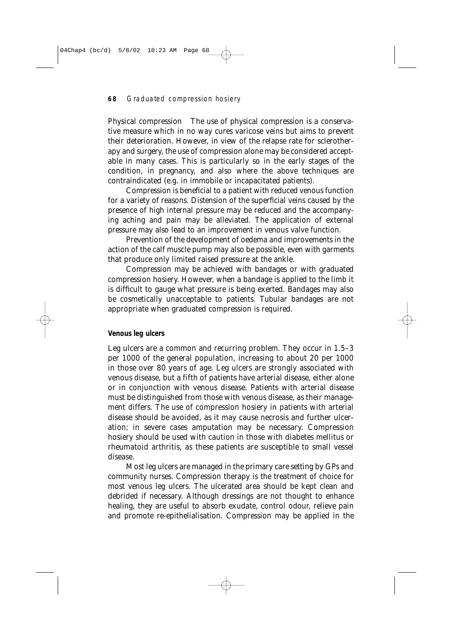*Physical compression* The use of physical compression is a conservative measure which in no way cures varicose veins but aims to prevent their deterioration. However, in view of the relapse rate for sclerotherapy and surgery, the use of compression alone may be considered acceptable in many cases. This is particularly so in the early stages of the condition, in pregnancy, and also where the above techniques are contraindicated (e.g. in immobile or incapacitated patients).

Compression is beneficial to a patient with reduced venous function for a variety of reasons. Distension of the superficial veins caused by the presence of high internal pressure may be reduced and the accompanying aching and pain may be alleviated. The application of external pressure may also lead to an improvement in venous valve function.

Prevention of the development of oedema and improvements in the action of the calf muscle pump may also be possible, even with garments that produce only limited raised pressure at the ankle.

Compression may be achieved with bandages or with graduated compression hosiery. However, when a bandage is applied to the limb it is difficult to gauge what pressure is being exerted. Bandages may also be cosmetically unacceptable to patients. Tubular bandages are not appropriate when graduated compression is required.

# **Venous leg ulcers**

Leg ulcers are a common and recurring problem. They occur in 1.5–3 per 1000 of the general population, increasing to about 20 per 1000 in those over 80 years of age. Leg ulcers are strongly associated with venous disease, but a fifth of patients have arterial disease, either alone or in conjunction with venous disease. Patients with arterial disease must be distinguished from those with venous disease, as their management differs. The use of compression hosiery in patients with arterial disease should be avoided, as it may cause necrosis and further ulceration; in severe cases amputation may be necessary. Compression hosiery should be used with caution in those with diabetes mellitus or rheumatoid arthritis, as these patients are susceptible to small vessel disease.

Most leg ulcers are managed in the primary care setting by GPs and community nurses. Compression therapy is the treatment of choice for most venous leg ulcers. The ulcerated area should be kept clean and debrided if necessary. Although dressings are not thought to enhance healing, they are useful to absorb exudate, control odour, relieve pain and promote re-epithelialisation. Compression may be applied in the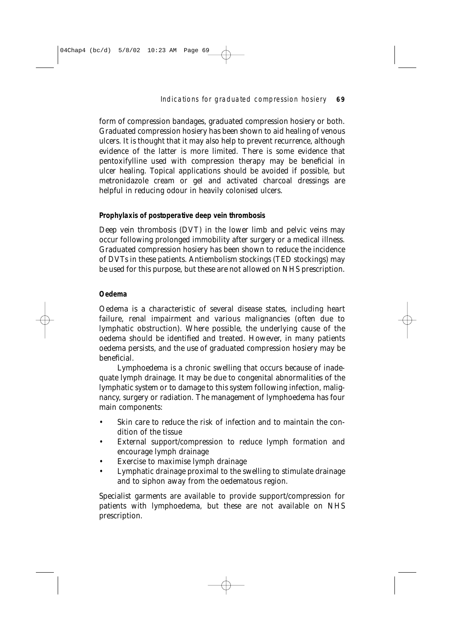# Indications for graduated compression hosiery **69**

form of compression bandages, graduated compression hosiery or both. Graduated compression hosiery has been shown to aid healing of venous ulcers. It is thought that it may also help to prevent recurrence, although evidence of the latter is more limited. There is some evidence that pentoxifylline used with compression therapy may be beneficial in ulcer healing. Topical applications should be avoided if possible, but metronidazole cream or gel and activated charcoal dressings are helpful in reducing odour in heavily colonised ulcers.

#### **Prophylaxis of postoperative deep vein thrombosis**

Deep vein thrombosis (DVT) in the lower limb and pelvic veins may occur following prolonged immobility after surgery or a medical illness. Graduated compression hosiery has been shown to reduce the incidence of DVTs in these patients. Antiembolism stockings (TED stockings) may be used for this purpose, but these are not allowed on NHS prescription.

#### **Oedema**

Oedema is a characteristic of several disease states, including heart failure, renal impairment and various malignancies (often due to lymphatic obstruction). Where possible, the underlying cause of the oedema should be identified and treated. However, in many patients oedema persists, and the use of graduated compression hosiery may be beneficial.

Lymphoedema is a chronic swelling that occurs because of inadequate lymph drainage. It may be due to congenital abnormalities of the lymphatic system or to damage to this system following infection, malignancy, surgery or radiation. The management of lymphoedema has four main components:

- Skin care to reduce the risk of infection and to maintain the condition of the tissue
- External support/compression to reduce lymph formation and encourage lymph drainage
- Exercise to maximise lymph drainage
- Lymphatic drainage proximal to the swelling to stimulate drainage and to siphon away from the oedematous region.

Specialist garments are available to provide support/compression for patients with lymphoedema, but these are not available on NHS prescription.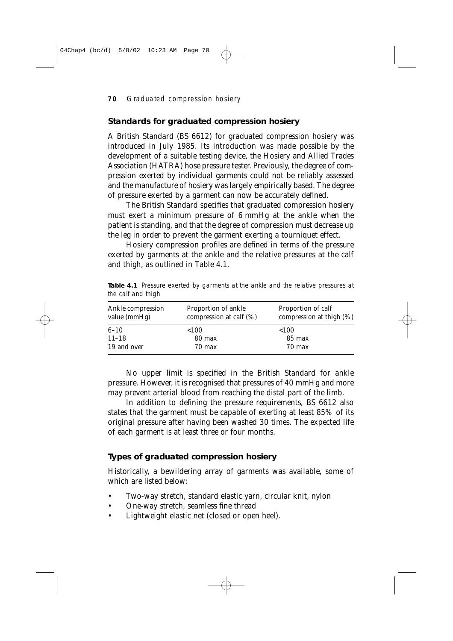# **Standards for graduated compression hosiery**

A British Standard (BS 6612) for graduated compression hosiery was introduced in July 1985. Its introduction was made possible by the development of a suitable testing device, the Hosiery and Allied Trades Association (HATRA) hose pressure tester. Previously, the degree of compression exerted by individual garments could not be reliably assessed and the manufacture of hosiery was largely empirically based. The degree of pressure exerted by a garment can now be accurately defined.

The British Standard specifies that graduated compression hosiery must exert a minimum pressure of 6 mmHg at the ankle when the patient is standing, and that the degree of compression must decrease up the leg in order to prevent the garment exerting a tourniquet effect.

Hosiery compression profiles are defined in terms of the pressure exerted by garments at the ankle and the relative pressures at the calf and thigh, as outlined in Table 4.1.

**Table 4.1** Pressure exerted by garments at the ankle and the relative pressures at the calf and thigh

| Ankle compression<br>value (mmHg) | <b>Proportion of ankle</b><br>compression at calf $(\%)$ | Proportion of calf<br>compression at thigh (%) |  |
|-----------------------------------|----------------------------------------------------------|------------------------------------------------|--|
| $6 - 10$                          | < 100                                                    | ${<}100$                                       |  |
| $11 - 18$                         | 80 max                                                   | 85 max                                         |  |
| 19 and over                       | $70 \text{ max}$                                         | $70 \text{ max}$                               |  |

No upper limit is specified in the British Standard for ankle pressure. However, it is recognised that pressures of 40 mmHg and more may prevent arterial blood from reaching the distal part of the limb.

In addition to defining the pressure requirements, BS 6612 also states that the garment must be capable of exerting at least 85% of its original pressure after having been washed 30 times. The expected life of each garment is at least three or four months.

# **Types of graduated compression hosiery**

Historically, a bewildering array of garments was available, some of which are listed below:

- Two-way stretch, standard elastic yarn, circular knit, nylon
- One-way stretch, seamless fine thread
- Lightweight elastic net (closed or open heel).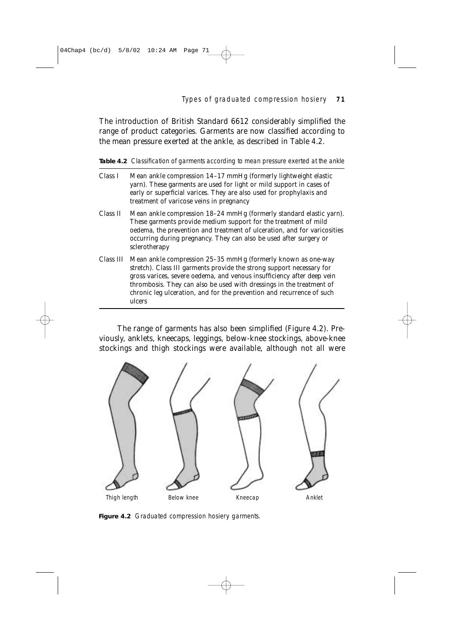Types of graduated compression hosiery **71**

The introduction of British Standard 6612 considerably simplified the range of product categories. Garments are now classified according to the mean pressure exerted at the ankle, as described in Table 4.2.

Table 4.2 Classification of garments according to mean pressure exerted at the ankle

- Class I Mean ankle compression 14–17 mmHg (formerly lightweight elastic yarn). These garments are used for light or mild support in cases of early or superficial varices. They are also used for prophylaxis and treatment of varicose veins in pregnancy
- Class II Mean ankle compression 18–24 mmHg (formerly standard elastic yarn). These garments provide medium support for the treatment of mild oedema, the prevention and treatment of ulceration, and for varicosities occurring during pregnancy. They can also be used after surgery or sclerotherapy
- Class III Mean ankle compression 25–35 mmHg (formerly known as one-way stretch). Class III garments provide the strong support necessary for gross varices, severe oedema, and venous insufficiency after deep vein thrombosis. They can also be used with dressings in the treatment of chronic leg ulceration, and for the prevention and recurrence of such ulcers

The range of garments has also been simplified (Figure 4.2). Previously, anklets, kneecaps, leggings, below-knee stockings, above-knee stockings and thigh stockings were available, although not all were



Figure 4.2 Graduated compression hosiery garments.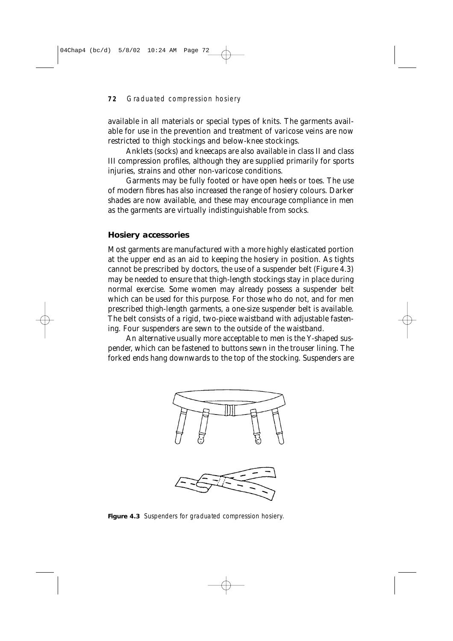available in all materials or special types of knits. The garments available for use in the prevention and treatment of varicose veins are now restricted to thigh stockings and below-knee stockings.

Anklets (socks) and kneecaps are also available in class II and class III compression profiles, although they are supplied primarily for sports injuries, strains and other non-varicose conditions.

Garments may be fully footed or have open heels or toes. The use of modern fibres has also increased the range of hosiery colours. Darker shades are now available, and these may encourage compliance in men as the garments are virtually indistinguishable from socks.

#### **Hosiery accessories**

Most garments are manufactured with a more highly elasticated portion at the upper end as an aid to keeping the hosiery in position. As tights cannot be prescribed by doctors, the use of a suspender belt (Figure 4.3) may be needed to ensure that thigh-length stockings stay in place during normal exercise. Some women may already possess a suspender belt which can be used for this purpose. For those who do not, and for men prescribed thigh-length garments, a one-size suspender belt is available. The belt consists of a rigid, two-piece waistband with adjustable fastening. Four suspenders are sewn to the outside of the waistband.

An alternative usually more acceptable to men is the Y-shaped suspender, which can be fastened to buttons sewn in the trouser lining. The forked ends hang downwards to the top of the stocking. Suspenders are





**Figure 4.3** Suspenders for graduated compression hosiery.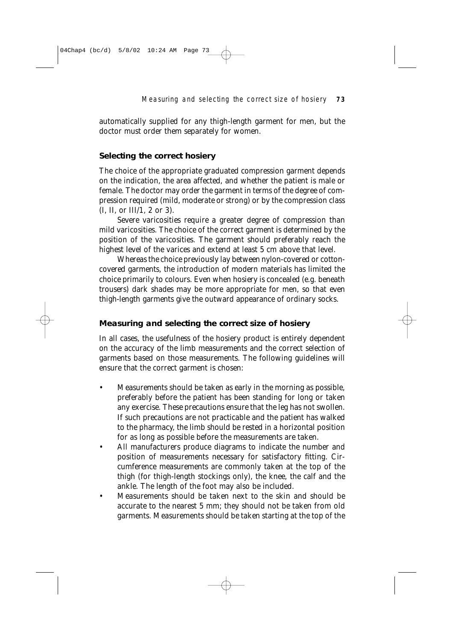automatically supplied for any thigh-length garment for men, but the doctor must order them separately for women.

# **Selecting the correct hosiery**

The choice of the appropriate graduated compression garment depends on the indication, the area affected, and whether the patient is male or female. The doctor may order the garment in terms of the degree of compression required (mild, moderate or strong) or by the compression class (I, II, or III/1, 2 or 3).

Severe varicosities require a greater degree of compression than mild varicosities. The choice of the correct garment is determined by the position of the varicosities. The garment should preferably reach the highest level of the varices and extend at least 5 cm above that level.

Whereas the choice previously lay between nylon-covered or cottoncovered garments, the introduction of modern materials has limited the choice primarily to colours. Even when hosiery is concealed (e.g. beneath trousers) dark shades may be more appropriate for men, so that even thigh-length garments give the outward appearance of ordinary socks.

#### **Measuring and selecting the correct size of hosiery**

In all cases, the usefulness of the hosiery product is entirely dependent on the accuracy of the limb measurements and the correct selection of garments based on those measurements. The following guidelines will ensure that the correct garment is chosen:

- Measurements should be taken as early in the morning as possible, preferably before the patient has been standing for long or taken any exercise. These precautions ensure that the leg has not swollen. If such precautions are not practicable and the patient has walked to the pharmacy, the limb should be rested in a horizontal position for as long as possible before the measurements are taken.
- All manufacturers produce diagrams to indicate the number and position of measurements necessary for satisfactory fitting. Circumference measurements are commonly taken at the top of the thigh (for thigh-length stockings only), the knee, the calf and the ankle. The length of the foot may also be included.
- Measurements should be taken next to the skin and should be accurate to the nearest 5 mm; they should not be taken from old garments. Measurements should be taken starting at the top of the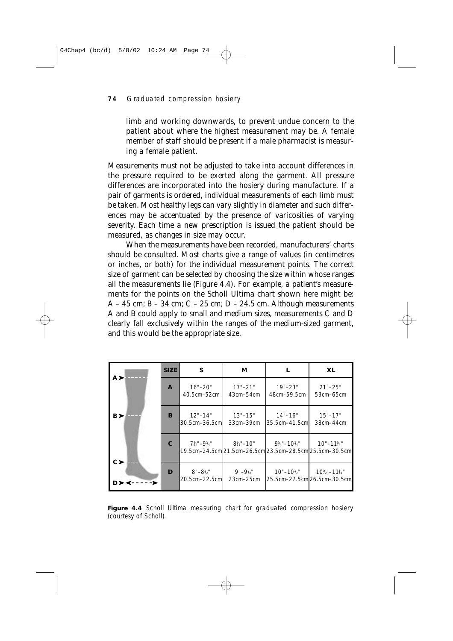limb and working downwards, to prevent undue concern to the patient about where the highest measurement may be. A female member of staff should be present if a male pharmacist is measuring a female patient.

Measurements must not be adjusted to take into account differences in the pressure required to be exerted along the garment. All pressure differences are incorporated into the hosiery during manufacture. If a pair of garments is ordered, individual measurements of each limb must be taken. Most healthy legs can vary slightly in diameter and such differences may be accentuated by the presence of varicosities of varying severity. Each time a new prescription is issued the patient should be measured, as changes in size may occur.

When the measurements have been recorded, manufacturers' charts should be consulted. Most charts give a range of values (in centimetres or inches, or both) for the individual measurement points. The correct size of garment can be selected by choosing the size within whose ranges all the measurements lie (Figure 4.4). For example, a patient's measurements for the points on the Scholl Ultima chart shown here might be: A – 45 cm; B – 34 cm; C – 25 cm; D – 24.5 cm. Although measurements A and B could apply to small and medium sizes, measurements C and D clearly fall exclusively within the ranges of the medium-sized garment, and this would be the appropriate size.

|         | <b>SIZE</b>  | S                                     | М                            |                                                   | <b>XL</b>                                                                         |
|---------|--------------|---------------------------------------|------------------------------|---------------------------------------------------|-----------------------------------------------------------------------------------|
| A >     | $\mathbf{A}$ | $16" - 20"$<br>40.5cm-52cm            | $17 - 21$ "<br>43cm-54cm     | $19" - 23"$<br>48cm-59.5cm                        | $21 - 25$<br>53cm-65cm                                                            |
| B >     | B            | $12" - 14"$<br>30.5cm-36.5cm          | $13" - 15"$<br>33cm-39cm     | $14" - 16"$<br>35.5cm-41.5cm                      | $15" - 17"$<br>38cm-44cm                                                          |
| $c \ge$ | $\mathbf C$  | $7\frac{3}{4}$ "-9 $\frac{1}{4}$ "    | $8\frac{1}{2}$ – 10"         | $9\frac{1}{4}$ "-10 <sup>3</sup> / <sub>4</sub> " | $10" - 11\%"$<br>19.5cm-24.5cml21.5cm-26.5cml23.5cm-28.5cml25.5cm-30.5cml         |
|         | D            | $8" - 8\frac{1}{2}"$<br>20.5cm-22.5cm | $9" - 9\%"$<br>$23cm - 25cm$ | $10" - 10\frac{1}{2}$                             | $10\frac{1}{2}$ "-11 <sup>3</sup> / <sub>4</sub> "<br>25.5cm-27.5cm 26.5cm-30.5cm |

**Figure 4.4** Scholl Ultima measuring chart for graduated compression hosiery (courtesy of Scholl).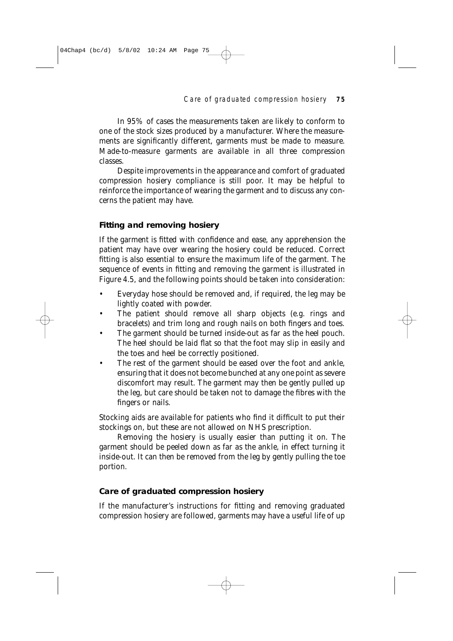#### Care of graduated compression hosiery **75**

In 95% of cases the measurements taken are likely to conform to one of the stock sizes produced by a manufacturer. Where the measurements are significantly different, garments must be made to measure. Made-to-measure garments are available in all three compression classes.

Despite improvements in the appearance and comfort of graduated compression hosiery compliance is still poor. It may be helpful to reinforce the importance of wearing the garment and to discuss any concerns the patient may have.

# **Fitting and removing hosiery**

04Chap4 (bc/d) 5/8/02 10:24 AM Page 75

If the garment is fitted with confidence and ease, any apprehension the patient may have over wearing the hosiery could be reduced. Correct fitting is also essential to ensure the maximum life of the garment. The sequence of events in fitting and removing the garment is illustrated in Figure 4.5, and the following points should be taken into consideration:

- Everyday hose should be removed and, if required, the leg may be lightly coated with powder.
- The patient should remove all sharp objects (e.g. rings and bracelets) and trim long and rough nails on both fingers and toes.
- The garment should be turned inside-out as far as the heel pouch. The heel should be laid flat so that the foot may slip in easily and the toes and heel be correctly positioned.
- The rest of the garment should be eased over the foot and ankle, ensuring that it does not become bunched at any one point as severe discomfort may result. The garment may then be gently pulled up the leg, but care should be taken not to damage the fibres with the fingers or nails.

Stocking aids are available for patients who find it difficult to put their stockings on, but these are not allowed on NHS prescription.

Removing the hosiery is usually easier than putting it on. The garment should be peeled down as far as the ankle, in effect turning it inside-out. It can then be removed from the leg by gently pulling the toe portion.

# **Care of graduated compression hosiery**

If the manufacturer's instructions for fitting and removing graduated compression hosiery are followed, garments may have a useful life of up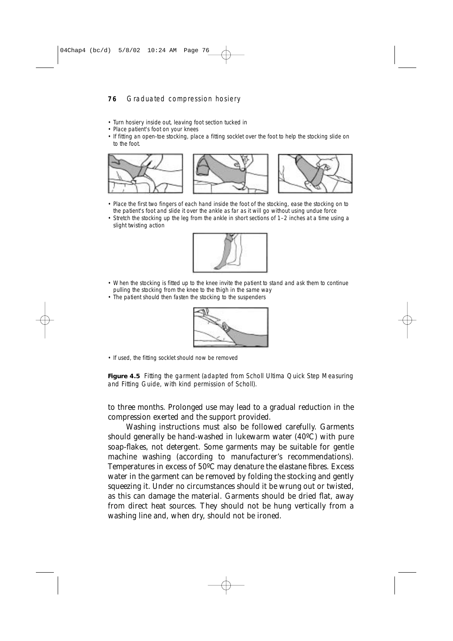- Turn hosiery inside out, leaving foot section tucked in
- Place patient's foot on your knees
- If fitting an open-toe stocking, place a fitting socklet over the foot to help the stocking slide on to the foot.



- Place the first two fingers of each hand inside the foot of the stocking, ease the stocking on to the patient's foot and slide it over the ankle as far as it will go without using undue force
- Stretch the stocking up the leg from the ankle in short sections of 1–2 inches at a time using a slight twisting action



- When the stocking is fitted up to the knee invite the patient to stand and ask them to continue • pulling the stocking from the knee to the thigh in the same way
- The patient should then fasten the stocking to the suspenders



• If used, the fitting socklet should now be removed

Figure 4.5 Fitting the garment (adapted from Scholl Ultima Quick Step Measuring and Fitting Guide, with kind permission of Scholl).

to three months. Prolonged use may lead to a gradual reduction in the compression exerted and the support provided.

Washing instructions must also be followed carefully. Garments should generally be hand-washed in lukewarm water (40ºC) with pure soap-flakes, not detergent. Some garments may be suitable for gentle machine washing (according to manufacturer's recommendations). Temperatures in excess of 50ºC may denature the elastane fibres. Excess water in the garment can be removed by folding the stocking and gently squeezing it. Under no circumstances should it be wrung out or twisted, as this can damage the material. Garments should be dried flat, away from direct heat sources. They should not be hung vertically from a washing line and, when dry, should not be ironed.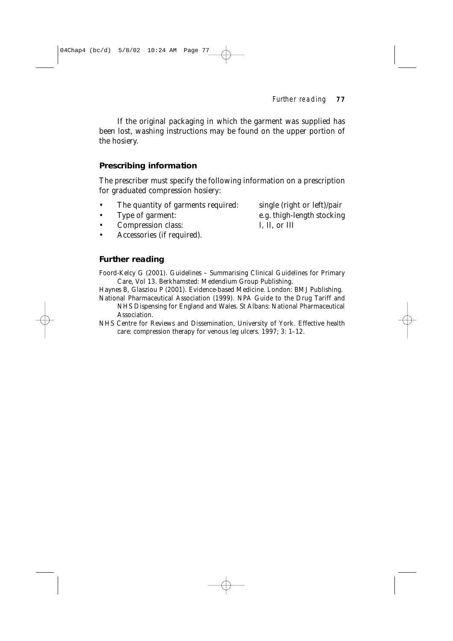Further reading **77**

If the original packaging in which the garment was supplied has been lost, washing instructions may be found on the upper portion of the hosiery.

# **Prescribing information**

The prescriber must specify the following information on a prescription for graduated compression hosiery:

- The quantity of garments required: single (right or left)/pair
- 
- Compression class: I, II, or III

• Accessories (if required).

• Type of garment: e.g. thigh-length stocking

# **Further reading**

Foord-Kelcy G (2001). *Guidelines – Summarising Clinical Guidelines for Primary Care,* Vol 13. Berkhamsted: Medendium Group Publishing.

Haynes B, Glasziou P (2001). *Evidence-based Medicine.* London: BMJ Publishing.

National Pharmaceutical Association (1999). *NPA Guide to the Drug Tariff and NHS Dispensing for England and Wales.* St Albans: National Pharmaceutical Association.

NHS Centre for Reviews and Dissemination, University of York. *Effective health care: compression therapy for venous leg ulcers.* 1997; 3: 1–12.